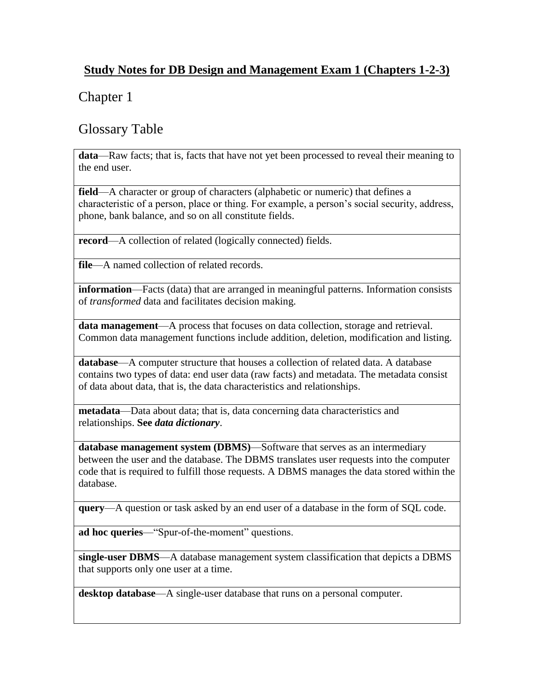### **Study Notes for DB Design and Management Exam 1 (Chapters 1-2-3)**

# Chapter 1

### Glossary Table

**data**—Raw facts; that is, facts that have not yet been processed to reveal their meaning to the end user.

**field—A** character or group of characters (alphabetic or numeric) that defines a characteristic of a person, place or thing. For example, a person's social security, address, phone, bank balance, and so on all constitute fields.

**record**—A collection of related (logically connected) fields.

**file**—A named collection of related records.

**information**—Facts (data) that are arranged in meaningful patterns. Information consists of *transformed* data and facilitates decision making.

**data management**—A process that focuses on data collection, storage and retrieval. Common data management functions include addition, deletion, modification and listing.

**database**—A computer structure that houses a collection of related data. A database contains two types of data: end user data (raw facts) and metadata. The metadata consist of data about data, that is, the data characteristics and relationships.

**metadata**—Data about data; that is, data concerning data characteristics and relationships. **See** *data dictionary*.

**database management system (DBMS)**—Software that serves as an intermediary between the user and the database. The DBMS translates user requests into the computer code that is required to fulfill those requests. A DBMS manages the data stored within the database.

**query**—A question or task asked by an end user of a database in the form of SQL code.

ad hoc queries—"Spur-of-the-moment" questions.

**single-user DBMS**—A database management system classification that depicts a DBMS that supports only one user at a time.

**desktop database**—A single-user database that runs on a personal computer.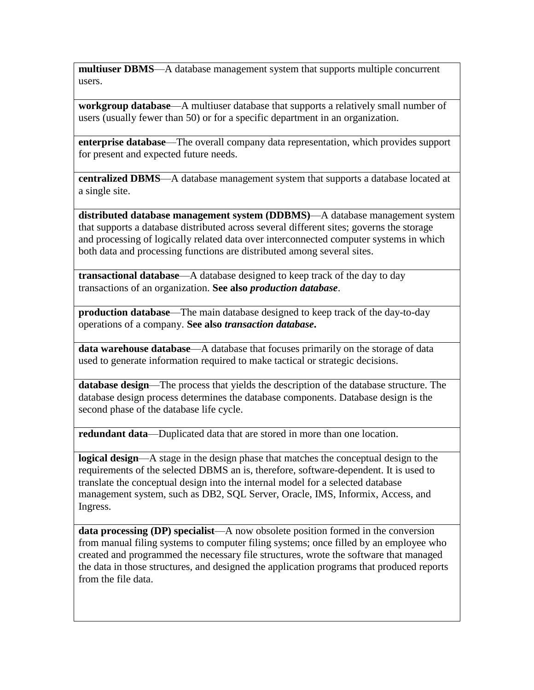**multiuser DBMS**—A database management system that supports multiple concurrent users.

**workgroup database**—A multiuser database that supports a relatively small number of users (usually fewer than 50) or for a specific department in an organization.

**enterprise database**—The overall company data representation, which provides support for present and expected future needs.

**centralized DBMS**—A database management system that supports a database located at a single site.

**distributed database management system (DDBMS)**—A database management system that supports a database distributed across several different sites; governs the storage and processing of logically related data over interconnected computer systems in which both data and processing functions are distributed among several sites.

**transactional database**—A database designed to keep track of the day to day transactions of an organization. **See also** *production database*.

**production database**—The main database designed to keep track of the day-to-day operations of a company. **See also** *transaction database***.**

**data warehouse database**—A database that focuses primarily on the storage of data used to generate information required to make tactical or strategic decisions.

**database design**—The process that yields the description of the database structure. The database design process determines the database components. Database design is the second phase of the database life cycle.

**redundant data**—Duplicated data that are stored in more than one location.

**logical design**—A stage in the design phase that matches the conceptual design to the requirements of the selected DBMS an is, therefore, software-dependent. It is used to translate the conceptual design into the internal model for a selected database management system, such as DB2, SQL Server, Oracle, IMS, Informix, Access, and Ingress.

**data processing (DP) specialist**—A now obsolete position formed in the conversion from manual filing systems to computer filing systems; once filled by an employee who created and programmed the necessary file structures, wrote the software that managed the data in those structures, and designed the application programs that produced reports from the file data.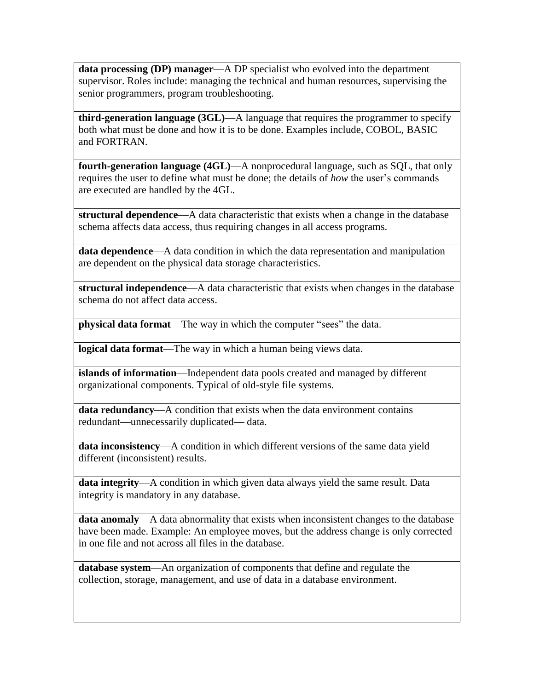**data processing (DP) manager**—A DP specialist who evolved into the department supervisor. Roles include: managing the technical and human resources, supervising the senior programmers, program troubleshooting.

**third-generation language (3GL)**—A language that requires the programmer to specify both what must be done and how it is to be done. Examples include, COBOL, BASIC and FORTRAN.

**fourth-generation language (4GL)**—A nonprocedural language, such as SQL, that only requires the user to define what must be done; the details of *how* the user's commands are executed are handled by the 4GL.

**structural dependence**—A data characteristic that exists when a change in the database schema affects data access, thus requiring changes in all access programs.

**data dependence**—A data condition in which the data representation and manipulation are dependent on the physical data storage characteristics.

**structural independence**—A data characteristic that exists when changes in the database schema do not affect data access.

**physical data format—The way in which the computer "sees"** the data.

**logical data format**—The way in which a human being views data.

**islands of information**—Independent data pools created and managed by different organizational components. Typical of old-style file systems.

**data redundancy**—A condition that exists when the data environment contains redundant—unnecessarily duplicated— data.

**data inconsistency**—A condition in which different versions of the same data yield different (inconsistent) results.

**data integrity**—A condition in which given data always yield the same result. Data integrity is mandatory in any database.

**data anomaly**—A data abnormality that exists when inconsistent changes to the database have been made. Example: An employee moves, but the address change is only corrected in one file and not across all files in the database.

**database system**—An organization of components that define and regulate the collection, storage, management, and use of data in a database environment.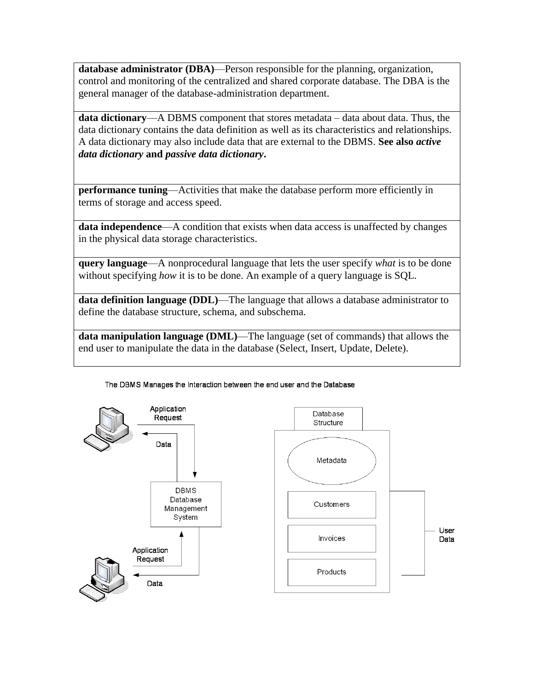**database administrator (DBA)**—Person responsible for the planning, organization, control and monitoring of the centralized and shared corporate database. The DBA is the general manager of the database-administration department.

**data dictionary**—A DBMS component that stores metadata – data about data. Thus, the data dictionary contains the data definition as well as its characteristics and relationships. A data dictionary may also include data that are external to the DBMS. **See also** *active data dictionary* **and** *passive data dictionary***.**

**performance tuning—Activities that make the database perform more efficiently in** terms of storage and access speed.

**data independence—A** condition that exists when data access is unaffected by changes in the physical data storage characteristics.

**query language**—A nonprocedural language that lets the user specify *what* is to be done without specifying *how* it is to be done. An example of a query language is SQL.

**data definition language (DDL)**—The language that allows a database administrator to define the database structure, schema, and subschema.

**data manipulation language (DML)**—The language (set of commands) that allows the end user to manipulate the data in the database (Select, Insert, Update, Delete).





#### The DBMS Manages the Interaction between the end user and the Database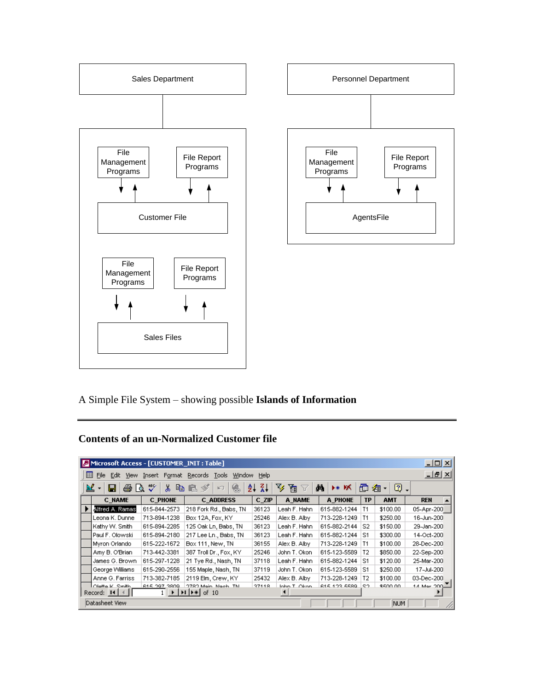

A Simple File System – showing possible **Islands of Information**

### **Contents of an un-Normalized Customer file**

| $\Box$ o $\Box$<br>Microsoft Access - [CUSTOMER_INIT: Table]                                                         |                                                                                           |                |                        |       |               |                     |           |            |             |
|----------------------------------------------------------------------------------------------------------------------|-------------------------------------------------------------------------------------------|----------------|------------------------|-------|---------------|---------------------|-----------|------------|-------------|
|                                                                                                                      | <u>니리지</u><br>圓<br>File<br>Insert Format Records Tools<br>Help<br>Window<br>Edit.<br>View |                |                        |       |               |                     |           |            |             |
| ¥₹<br>$\mathbf{v}$<br>≝<br>囤<br>М<br>eb.<br>V<br>匝<br>0.<br>恩<br>60.<br>y,<br>ĝĻ<br>Y<br>D∗ DX<br>個<br>☜<br>掏・<br>ЮŪ |                                                                                           |                |                        |       |               |                     |           |            |             |
|                                                                                                                      | <b>C NAME</b>                                                                             | <b>C PHONE</b> | <b>C ADDRESS</b>       | C ZIP | A NAME        | A PHONE             | <b>TP</b> | <b>AMT</b> | <b>REN</b>  |
|                                                                                                                      | Alfred A. Ramas                                                                           | 615-844-2573   | 218 Fork Rd., Babs, TN | 36123 | Leah F. Hahn  | 615-882-1244        | T1        | \$100.00   | 05-Apr-200  |
|                                                                                                                      | Leona K. Dunnel                                                                           | 713-894-1238   | Box 12A, Fox, KY       | 25246 | Alex B. Alby  | 713-228-1249        | T1        | \$250.00   | 16-Jun-200  |
|                                                                                                                      | Kathy W. Smith                                                                            | 615-894-2285   | 125 Oak Ln, Babs, TN   | 36123 | Leah F. Hahn  | 615-882-2144        | S2        | \$150.00   | 29-Jan-200  |
|                                                                                                                      | Paul F. Olowski                                                                           | 615-894-2180   | 217 Lee Ln., Babs, TN  | 36123 | Leah F. Hahn  | 615-882-1244        | S1        | \$300.00   | 14-Oct-200  |
|                                                                                                                      | Myron Orlando                                                                             | 615-222-1672   | Box 111, New, TN       | 36155 | Alex B. Alby  | 713-228-1249        | T1        | \$100.00   | 28-Dec-200  |
|                                                                                                                      | Amy B. O'Brian                                                                            | 713-442-3381   | 387 Troll Dr., Fox, KY | 25246 | John T. Okon  | 615-123-5589        | T2        | \$850.00   | 22-Sep-200  |
|                                                                                                                      | James G. Brown                                                                            | 615-297-1228   | 21 Tye Rd., Nash, TN   | 37118 | Leah F. Hahn  | 615-882-1244        | S1        | \$120.00   | 25-Mar-200  |
|                                                                                                                      | George Williams                                                                           | 615-290-2556   | 155 Maple, Nash, TN    | 37119 | John T. Okon  | 615-123-5589        | S1        | \$250.00   | 17-Jul-200  |
|                                                                                                                      | Anne G. Farriss                                                                           | 713-382-7185   | 2119 Elm, Crew, KY     | 25432 | Alex B. Alby  | 713-228-1249        | Т2        | \$100.00   | 03-Dec-200  |
|                                                                                                                      | LOIatta K. Smith                                                                          | R15 207 3800   | 2782 Main, Nach, TN    | 37448 | John T. Okon. | <b>615 103 5580</b> | SO.       | \$500.00.  | 1.4 May 200 |
| Record: 14<br>$\blacktriangleright$ $\blacktriangleright$ $\ast$ of 10<br>$\rightarrow$ 1                            |                                                                                           |                |                        |       |               |                     |           |            |             |
|                                                                                                                      | Datasheet View                                                                            |                |                        |       |               |                     |           | <b>NUM</b> |             |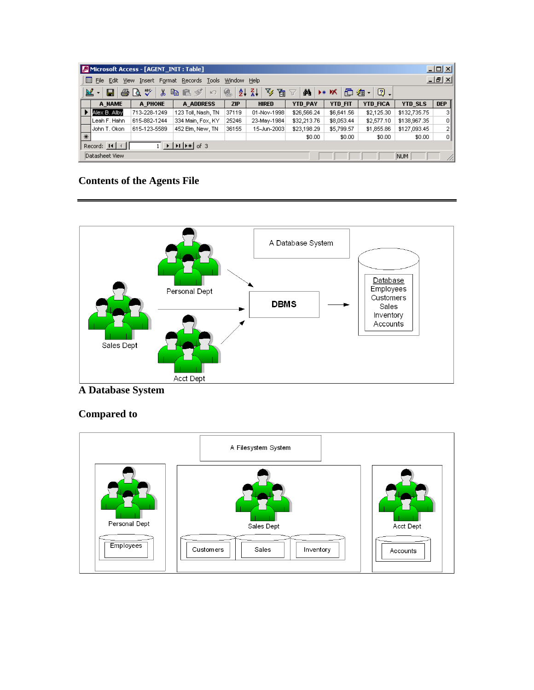| $ I \square  X $<br>Microsoft Access - [AGENT_INIT : Table]                                                                                                  |                              |              |                    |       |              |                |                |                 |              |            |
|--------------------------------------------------------------------------------------------------------------------------------------------------------------|------------------------------|--------------|--------------------|-------|--------------|----------------|----------------|-----------------|--------------|------------|
| <u>니리지</u><br>$\Box$ File<br>Insert Format Records Tools<br>Edit<br><b>View</b><br>Window Help                                                               |                              |              |                    |       |              |                |                |                 |              |            |
| $\frac{Z}{A}$<br>V<br>60 Q<br>$\boxed{2}$ .<br>図<br>ĝ↓<br>囿<br>电电が<br>đА<br>面 淘 ·<br>91<br>G.<br>‰<br>- K<br>$\overline{\mathbf{Y}}$<br>$\mathbb{R}^m$<br>▶⋇ |                              |              |                    |       |              |                |                |                 |              |            |
|                                                                                                                                                              | A NAME                       | A PHONE      | A ADDRESS          | ZIP   | <b>HIRED</b> | <b>YTD PAY</b> | <b>YTD_FIT</b> | <b>YTD FICA</b> | YTD_SLS      | <b>DEP</b> |
|                                                                                                                                                              | Alex B. Alby                 | 713-228-1249 | 123 Toll, Nash, TN | 37119 | 01-Nov-1998  | \$26,566.24    | \$6,641.56     | \$2,125.30      | \$132,735.75 | ЗΙ         |
|                                                                                                                                                              | Leah F. Hahn                 | 615-882-1244 | 334 Main, Fox, KY  | 25246 | 23-May-1984  | \$32,213.76    | \$8,053.44     | \$2,577.10      | \$138,967.35 | 01         |
|                                                                                                                                                              | John T. Okon                 | 615-123-5589 | 452 Elm, New, TN   | 36155 | 15-Jun-2003  | \$23,198.29    | \$5,799.57     | \$1,855.86      | \$127,093.45 | 21         |
| $\ast$                                                                                                                                                       |                              |              |                    |       |              | \$0.00         | \$0.00         | \$0.00          | \$0.00       | 에          |
| $\blacktriangleright$   $\blacktriangleright$   $\blacktriangleright$ $\ast$   of 3<br>Record: $H \setminus$                                                 |                              |              |                    |       |              |                |                |                 |              |            |
|                                                                                                                                                              | Datasheet View<br>NUM<br>//. |              |                    |       |              |                |                |                 |              |            |

### **Contents of the Agents File**



### **A Database System**

### **Compared to**

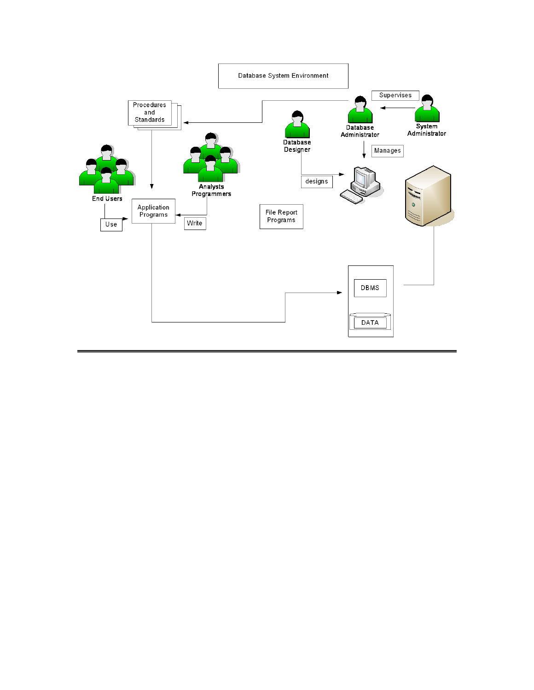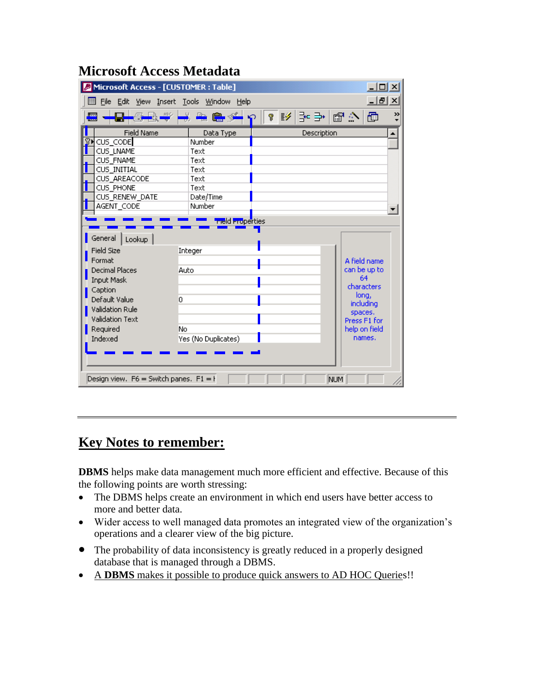| $\frac{1}{2}$<br>Microsoft Access - [CUSTOMER : Table]                                                                                                                                                                                                                                                                                                                                              |                           |            |             |                |  |  |
|-----------------------------------------------------------------------------------------------------------------------------------------------------------------------------------------------------------------------------------------------------------------------------------------------------------------------------------------------------------------------------------------------------|---------------------------|------------|-------------|----------------|--|--|
| $  \mathbb{E}$ $\times$<br>File Edit View Insert Tools Window Help<br>圓                                                                                                                                                                                                                                                                                                                             |                           |            |             |                |  |  |
| $-4-8$<br>П<br>而<br><b>Part</b><br>m.                                                                                                                                                                                                                                                                                                                                                               | $\mathbb{R}$<br>$\bullet$ | <b>? E</b> |             | 이스 웹 수 명<br>>> |  |  |
| <b>Field Name</b>                                                                                                                                                                                                                                                                                                                                                                                   | Data Type                 |            | Description |                |  |  |
| CUS_CODE                                                                                                                                                                                                                                                                                                                                                                                            | Number                    |            |             |                |  |  |
| CUS_LNAME                                                                                                                                                                                                                                                                                                                                                                                           | Text                      |            |             |                |  |  |
| CUS_FNAME                                                                                                                                                                                                                                                                                                                                                                                           | Text                      |            |             |                |  |  |
| CUS INITIAL                                                                                                                                                                                                                                                                                                                                                                                         | Text                      |            |             |                |  |  |
| CUS AREACODE                                                                                                                                                                                                                                                                                                                                                                                        | Text                      |            |             |                |  |  |
| CUS PHONE                                                                                                                                                                                                                                                                                                                                                                                           | Text                      |            |             |                |  |  |
| CUS RENEW DATE                                                                                                                                                                                                                                                                                                                                                                                      | Date/Time                 |            |             |                |  |  |
| AGENT CODE                                                                                                                                                                                                                                                                                                                                                                                          | Number                    |            |             |                |  |  |
| <mark>rie</mark> ld Properties<br>General  <br>Lookup<br>Field Size<br>Integer<br>Enrmalt<br>A field name<br>can be up to<br><b>Decimal Places</b><br>Auto<br>64<br>Input Mask<br>characters<br>Caption<br>long,<br>Default Value<br>o<br>including<br>Validation Rule<br>spaces.<br>Validation Text<br>Press F1 for<br>Required<br>No<br>help on field<br>Indexed<br>names.<br>Yes (No Duplicates) |                           |            |             |                |  |  |
| Design view. $F6 =$ Switch panes. $F1 = F$<br>NUM                                                                                                                                                                                                                                                                                                                                                   |                           |            |             |                |  |  |

# **Microsoft Access Metadata**

# **Key Notes to remember:**

**DBMS** helps make data management much more efficient and effective. Because of this the following points are worth stressing:

- The DBMS helps create an environment in which end users have better access to more and better data.
- Wider access to well managed data promotes an integrated view of the organization's operations and a clearer view of the big picture.
- The probability of data inconsistency is greatly reduced in a properly designed database that is managed through a DBMS.
- A **DBMS** makes it possible to produce quick answers to AD HOC Queries!!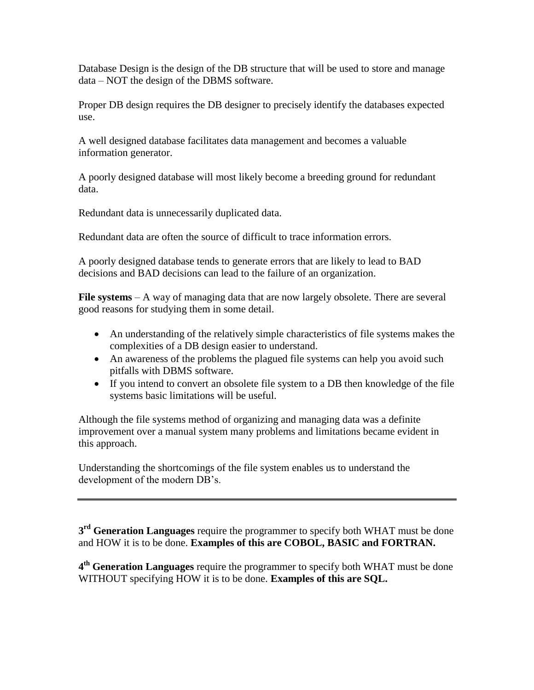Database Design is the design of the DB structure that will be used to store and manage data – NOT the design of the DBMS software.

Proper DB design requires the DB designer to precisely identify the databases expected use.

A well designed database facilitates data management and becomes a valuable information generator.

A poorly designed database will most likely become a breeding ground for redundant data.

Redundant data is unnecessarily duplicated data.

Redundant data are often the source of difficult to trace information errors.

A poorly designed database tends to generate errors that are likely to lead to BAD decisions and BAD decisions can lead to the failure of an organization.

**File systems** – A way of managing data that are now largely obsolete. There are several good reasons for studying them in some detail.

- An understanding of the relatively simple characteristics of file systems makes the complexities of a DB design easier to understand.
- An awareness of the problems the plagued file systems can help you avoid such pitfalls with DBMS software.
- If you intend to convert an obsolete file system to a DB then knowledge of the file systems basic limitations will be useful.

Although the file systems method of organizing and managing data was a definite improvement over a manual system many problems and limitations became evident in this approach.

Understanding the shortcomings of the file system enables us to understand the development of the modern DB's.

**3 rd Generation Languages** require the programmer to specify both WHAT must be done and HOW it is to be done. **Examples of this are COBOL, BASIC and FORTRAN.**

**4 th Generation Languages** require the programmer to specify both WHAT must be done WITHOUT specifying HOW it is to be done. **Examples of this are SQL.**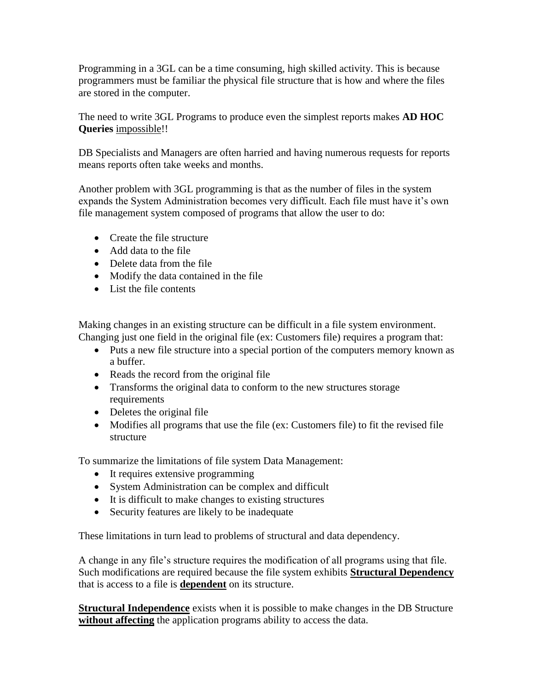Programming in a 3GL can be a time consuming, high skilled activity. This is because programmers must be familiar the physical file structure that is how and where the files are stored in the computer.

The need to write 3GL Programs to produce even the simplest reports makes **AD HOC Queries** impossible!!

DB Specialists and Managers are often harried and having numerous requests for reports means reports often take weeks and months.

Another problem with 3GL programming is that as the number of files in the system expands the System Administration becomes very difficult. Each file must have it's own file management system composed of programs that allow the user to do:

- Create the file structure
- Add data to the file
- Delete data from the file
- Modify the data contained in the file
- List the file contents

Making changes in an existing structure can be difficult in a file system environment. Changing just one field in the original file (ex: Customers file) requires a program that:

- Puts a new file structure into a special portion of the computers memory known as a buffer.
- Reads the record from the original file
- Transforms the original data to conform to the new structures storage requirements
- Deletes the original file
- Modifies all programs that use the file (ex: Customers file) to fit the revised file structure

To summarize the limitations of file system Data Management:

- It requires extensive programming
- System Administration can be complex and difficult
- It is difficult to make changes to existing structures
- Security features are likely to be inadequate

These limitations in turn lead to problems of structural and data dependency.

A change in any file's structure requires the modification of all programs using that file. Such modifications are required because the file system exhibits **Structural Dependency**  that is access to a file is **dependent** on its structure.

**Structural Independence** exists when it is possible to make changes in the DB Structure **without affecting** the application programs ability to access the data.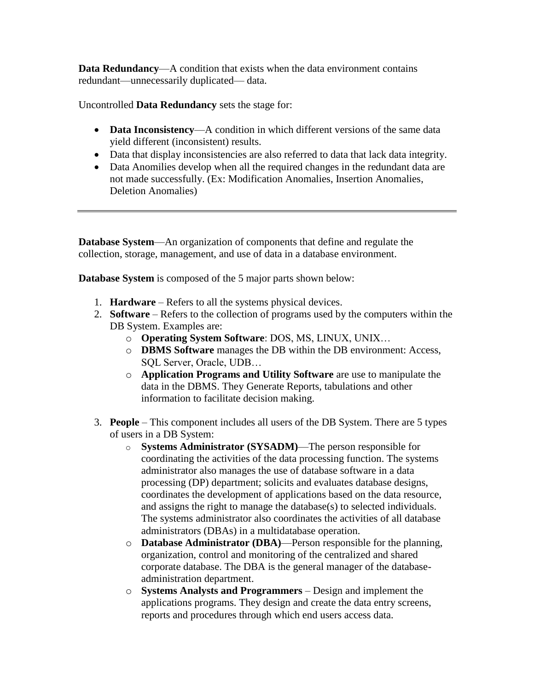**Data Redundancy**—A condition that exists when the data environment contains redundant—unnecessarily duplicated— data.

Uncontrolled **Data Redundancy** sets the stage for:

- **Data Inconsistency—A** condition in which different versions of the same data yield different (inconsistent) results.
- Data that display inconsistencies are also referred to data that lack data integrity.
- Data Anomilies develop when all the required changes in the redundant data are not made successfully. (Ex: Modification Anomalies, Insertion Anomalies, Deletion Anomalies)

**Database System**—An organization of components that define and regulate the collection, storage, management, and use of data in a database environment.

**Database System** is composed of the 5 major parts shown below:

- 1. **Hardware** Refers to all the systems physical devices.
- 2. **Software** Refers to the collection of programs used by the computers within the DB System. Examples are:
	- o **Operating System Software**: DOS, MS, LINUX, UNIX…
	- o **DBMS Software** manages the DB within the DB environment: Access, SQL Server, Oracle, UDB…
	- o **Application Programs and Utility Software** are use to manipulate the data in the DBMS. They Generate Reports, tabulations and other information to facilitate decision making.
- 3. **People** This component includes all users of the DB System. There are 5 types of users in a DB System:
	- o **Systems Administrator (SYSADM)**—The person responsible for coordinating the activities of the data processing function. The systems administrator also manages the use of database software in a data processing (DP) department; solicits and evaluates database designs, coordinates the development of applications based on the data resource, and assigns the right to manage the database(s) to selected individuals. The systems administrator also coordinates the activities of all database administrators (DBAs) in a multidatabase operation.
	- o **Database Administrator (DBA)**—Person responsible for the planning, organization, control and monitoring of the centralized and shared corporate database. The DBA is the general manager of the databaseadministration department.
	- o **Systems Analysts and Programmers**  Design and implement the applications programs. They design and create the data entry screens, reports and procedures through which end users access data.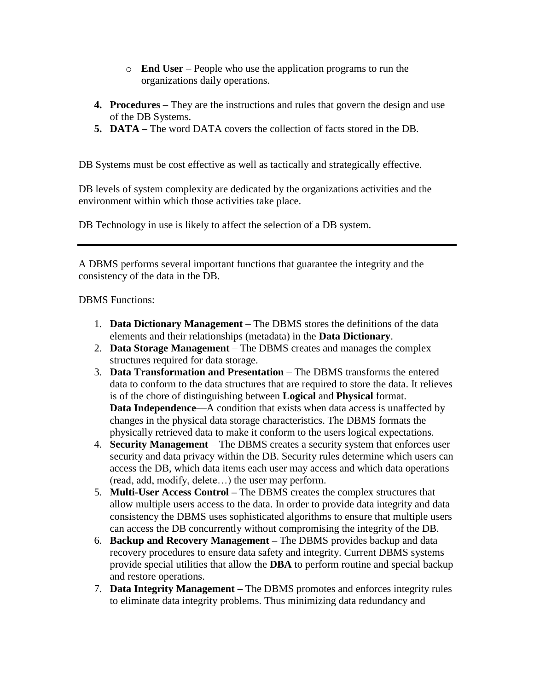- o **End User**  People who use the application programs to run the organizations daily operations.
- **4. Procedures –** They are the instructions and rules that govern the design and use of the DB Systems.
- **5. DATA –** The word DATA covers the collection of facts stored in the DB.

DB Systems must be cost effective as well as tactically and strategically effective.

DB levels of system complexity are dedicated by the organizations activities and the environment within which those activities take place.

DB Technology in use is likely to affect the selection of a DB system.

A DBMS performs several important functions that guarantee the integrity and the consistency of the data in the DB.

DBMS Functions:

- 1. **Data Dictionary Management** The DBMS stores the definitions of the data elements and their relationships (metadata) in the **Data Dictionary**.
- 2. **Data Storage Management**  The DBMS creates and manages the complex structures required for data storage.
- 3. **Data Transformation and Presentation**  The DBMS transforms the entered data to conform to the data structures that are required to store the data. It relieves is of the chore of distinguishing between **Logical** and **Physical** format. **Data Independence—A** condition that exists when data access is unaffected by changes in the physical data storage characteristics. The DBMS formats the physically retrieved data to make it conform to the users logical expectations.
- 4. **Security Management** The DBMS creates a security system that enforces user security and data privacy within the DB. Security rules determine which users can access the DB, which data items each user may access and which data operations (read, add, modify, delete…) the user may perform.
- 5. **Multi-User Access Control –** The DBMS creates the complex structures that allow multiple users access to the data. In order to provide data integrity and data consistency the DBMS uses sophisticated algorithms to ensure that multiple users can access the DB concurrently without compromising the integrity of the DB.
- 6. **Backup and Recovery Management –** The DBMS provides backup and data recovery procedures to ensure data safety and integrity. Current DBMS systems provide special utilities that allow the **DBA** to perform routine and special backup and restore operations.
- 7. **Data Integrity Management –** The DBMS promotes and enforces integrity rules to eliminate data integrity problems. Thus minimizing data redundancy and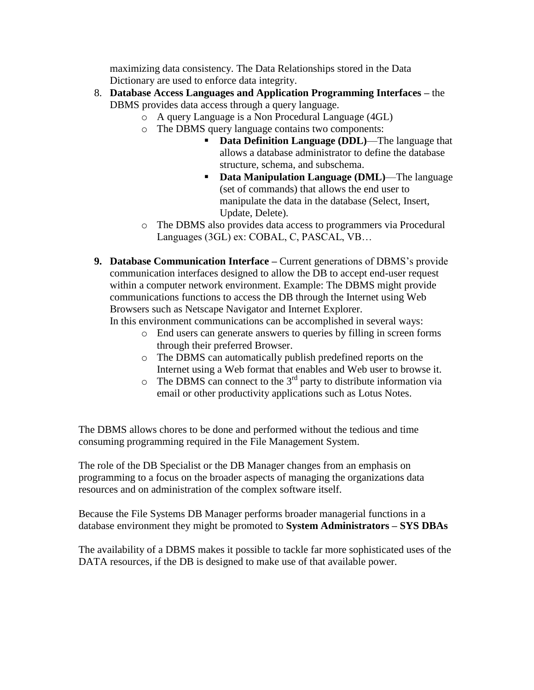maximizing data consistency. The Data Relationships stored in the Data Dictionary are used to enforce data integrity.

- 8. **Database Access Languages and Application Programming Interfaces –** the DBMS provides data access through a query language.
	- o A query Language is a Non Procedural Language (4GL)
	- o The DBMS query language contains two components:
		- **Data Definition Language (DDL)**—The language that allows a database administrator to define the database structure, schema, and subschema.
		- **Data Manipulation Language (DML)**—The language (set of commands) that allows the end user to manipulate the data in the database (Select, Insert, Update, Delete).
	- o The DBMS also provides data access to programmers via Procedural Languages (3GL) ex: COBAL, C, PASCAL, VB…
- **9. Database Communication Interface –** Current generations of DBMS's provide communication interfaces designed to allow the DB to accept end-user request within a computer network environment. Example: The DBMS might provide communications functions to access the DB through the Internet using Web Browsers such as Netscape Navigator and Internet Explorer.

In this environment communications can be accomplished in several ways:

- o End users can generate answers to queries by filling in screen forms through their preferred Browser.
- o The DBMS can automatically publish predefined reports on the Internet using a Web format that enables and Web user to browse it.
- $\circ$  The DBMS can connect to the 3<sup>rd</sup> party to distribute information via email or other productivity applications such as Lotus Notes.

The DBMS allows chores to be done and performed without the tedious and time consuming programming required in the File Management System.

The role of the DB Specialist or the DB Manager changes from an emphasis on programming to a focus on the broader aspects of managing the organizations data resources and on administration of the complex software itself.

Because the File Systems DB Manager performs broader managerial functions in a database environment they might be promoted to **System Administrators – SYS DBAs**

The availability of a DBMS makes it possible to tackle far more sophisticated uses of the DATA resources, if the DB is designed to make use of that available power.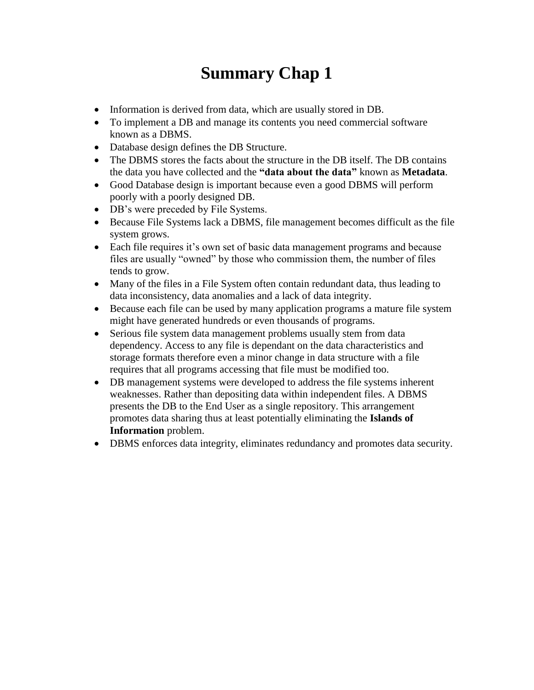# **Summary Chap 1**

- Information is derived from data, which are usually stored in DB.
- To implement a DB and manage its contents you need commercial software known as a DBMS.
- Database design defines the DB Structure.
- The DBMS stores the facts about the structure in the DB itself. The DB contains the data you have collected and the **"data about the data"** known as **Metadata**.
- Good Database design is important because even a good DBMS will perform poorly with a poorly designed DB.
- DB's were preceded by File Systems.
- Because File Systems lack a DBMS, file management becomes difficult as the file system grows.
- Each file requires it's own set of basic data management programs and because files are usually "owned" by those who commission them, the number of files tends to grow.
- Many of the files in a File System often contain redundant data, thus leading to data inconsistency, data anomalies and a lack of data integrity.
- Because each file can be used by many application programs a mature file system might have generated hundreds or even thousands of programs.
- Serious file system data management problems usually stem from data dependency. Access to any file is dependant on the data characteristics and storage formats therefore even a minor change in data structure with a file requires that all programs accessing that file must be modified too.
- DB management systems were developed to address the file systems inherent weaknesses. Rather than depositing data within independent files. A DBMS presents the DB to the End User as a single repository. This arrangement promotes data sharing thus at least potentially eliminating the **Islands of Information** problem.
- DBMS enforces data integrity, eliminates redundancy and promotes data security.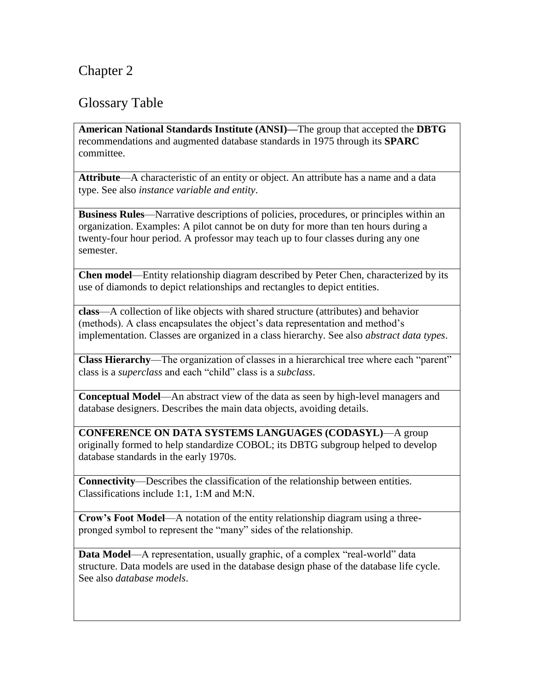# Chapter 2

### Glossary Table

**American National Standards Institute (ANSI)—**The group that accepted the **DBTG** recommendations and augmented database standards in 1975 through its **SPARC** committee.

**Attribute**—A characteristic of an entity or object. An attribute has a name and a data type. See also *instance variable and entity*.

**Business Rules**—Narrative descriptions of policies, procedures, or principles within an organization. Examples: A pilot cannot be on duty for more than ten hours during a twenty-four hour period. A professor may teach up to four classes during any one semester.

**Chen model**—Entity relationship diagram described by Peter Chen, characterized by its use of diamonds to depict relationships and rectangles to depict entities.

**class**—A collection of like objects with shared structure (attributes) and behavior (methods). A class encapsulates the object's data representation and method's implementation. Classes are organized in a class hierarchy. See also *abstract data types*.

**Class Hierarchy**—The organization of classes in a hierarchical tree where each "parent" class is a *superclass* and each "child" class is a *subclass*.

**Conceptual Model**—An abstract view of the data as seen by high-level managers and database designers. Describes the main data objects, avoiding details.

**CONFERENCE ON DATA SYSTEMS LANGUAGES (CODASYL)**—A group originally formed to help standardize COBOL; its DBTG subgroup helped to develop database standards in the early 1970s.

**Connectivity**—Describes the classification of the relationship between entities. Classifications include 1:1, 1:M and M:N.

**Crow's Foot Model**—A notation of the entity relationship diagram using a threepronged symbol to represent the "many" sides of the relationship.

**Data Model—A** representation, usually graphic, of a complex "real-world" data structure. Data models are used in the database design phase of the database life cycle. See also *database models*.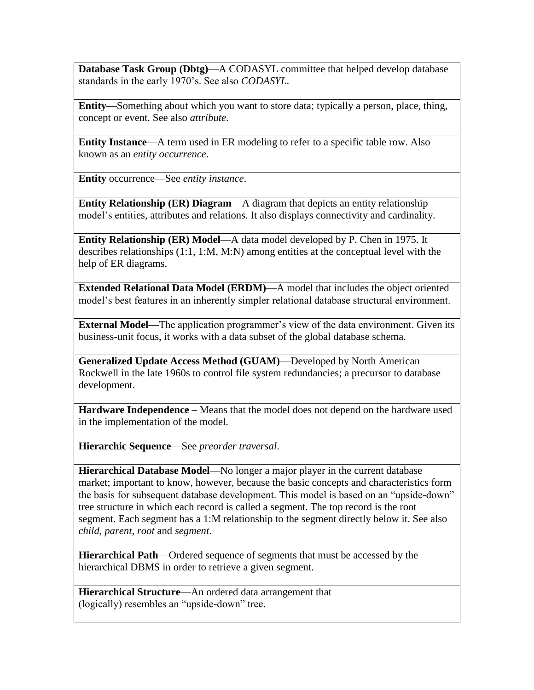**Database Task Group (Dbtg)**—A CODASYL committee that helped develop database standards in the early 1970's. See also *CODASYL*.

**Entity**—Something about which you want to store data; typically a person, place, thing, concept or event. See also *attribute*.

**Entity Instance**—A term used in ER modeling to refer to a specific table row. Also known as an *entity occurrence*.

**Entity** occurrence—See *entity instance*.

**Entity Relationship (ER) Diagram**—A diagram that depicts an entity relationship model's entities, attributes and relations. It also displays connectivity and cardinality.

**Entity Relationship (ER) Model**—A data model developed by P. Chen in 1975. It describes relationships (1:1, 1:M, M:N) among entities at the conceptual level with the help of ER diagrams.

**Extended Relational Data Model (ERDM)—**A model that includes the object oriented model's best features in an inherently simpler relational database structural environment.

**External Model**—The application programmer's view of the data environment. Given its business-unit focus, it works with a data subset of the global database schema.

**Generalized Update Access Method (GUAM)**—Developed by North American Rockwell in the late 1960s to control file system redundancies; a precursor to database development.

**Hardware Independence** – Means that the model does not depend on the hardware used in the implementation of the model.

**Hierarchic Sequence**—See *preorder traversal*.

**Hierarchical Database Model**—No longer a major player in the current database market; important to know, however, because the basic concepts and characteristics form the basis for subsequent database development. This model is based on an "upside-down" tree structure in which each record is called a segment. The top record is the root segment. Each segment has a 1:M relationship to the segment directly below it. See also *child, parent, root* and *segment*.

**Hierarchical Path**—Ordered sequence of segments that must be accessed by the hierarchical DBMS in order to retrieve a given segment.

**Hierarchical Structure**—An ordered data arrangement that (logically) resembles an "upside-down" tree.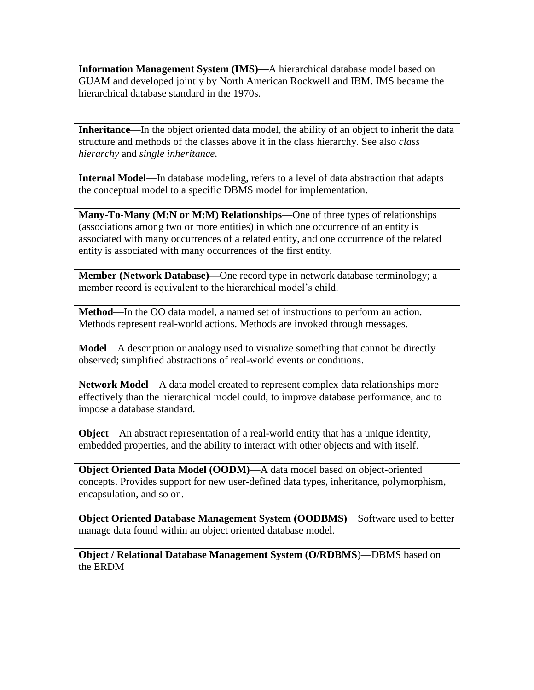**Information Management System (IMS)—**A hierarchical database model based on GUAM and developed jointly by North American Rockwell and IBM. IMS became the hierarchical database standard in the 1970s.

**Inheritance**—In the object oriented data model, the ability of an object to inherit the data structure and methods of the classes above it in the class hierarchy. See also *class hierarchy* and *single inheritance*.

**Internal Model**—In database modeling, refers to a level of data abstraction that adapts the conceptual model to a specific DBMS model for implementation.

**Many-To-Many (M:N or M:M) Relationships**—One of three types of relationships (associations among two or more entities) in which one occurrence of an entity is associated with many occurrences of a related entity, and one occurrence of the related entity is associated with many occurrences of the first entity.

**Member (Network Database)—One record type in network database terminology; a** member record is equivalent to the hierarchical model's child.

**Method**—In the OO data model, a named set of instructions to perform an action. Methods represent real-world actions. Methods are invoked through messages.

**Model**—A description or analogy used to visualize something that cannot be directly observed; simplified abstractions of real-world events or conditions.

**Network Model**—A data model created to represent complex data relationships more effectively than the hierarchical model could, to improve database performance, and to impose a database standard.

**Object**—An abstract representation of a real-world entity that has a unique identity, embedded properties, and the ability to interact with other objects and with itself.

**Object Oriented Data Model (OODM)**—A data model based on object-oriented concepts. Provides support for new user-defined data types, inheritance, polymorphism, encapsulation, and so on.

**Object Oriented Database Management System (OODBMS)**—Software used to better manage data found within an object oriented database model.

**Object / Relational Database Management System (O/RDBMS**)—DBMS based on the ERDM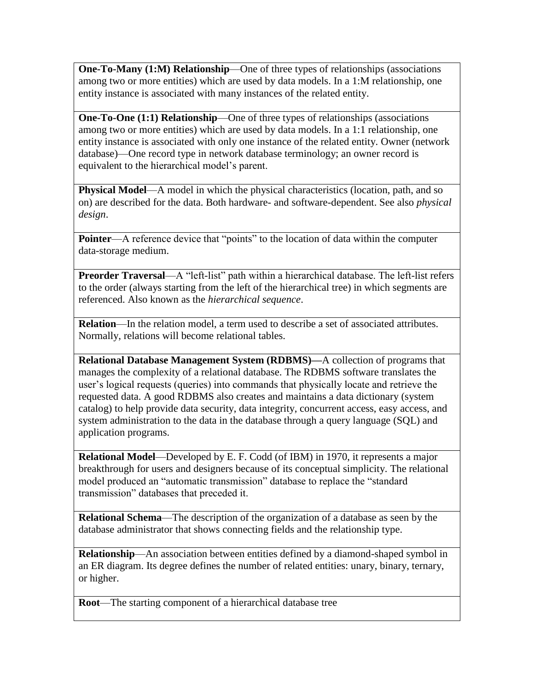**One-To-Many (1:M) Relationship—One of three types of relationships (associations** among two or more entities) which are used by data models. In a 1:M relationship, one entity instance is associated with many instances of the related entity.

**One-To-One (1:1) Relationship**—One of three types of relationships (associations among two or more entities) which are used by data models. In a 1:1 relationship, one entity instance is associated with only one instance of the related entity. Owner (network database)—One record type in network database terminology; an owner record is equivalent to the hierarchical model's parent.

**Physical Model—A** model in which the physical characteristics (location, path, and so on) are described for the data. Both hardware- and software-dependent. See also *physical design*.

**Pointer—A** reference device that "points" to the location of data within the computer data-storage medium.

**Preorder Traversal—A** "left-list" path within a hierarchical database. The left-list refers to the order (always starting from the left of the hierarchical tree) in which segments are referenced. Also known as the *hierarchical sequence*.

**Relation**—In the relation model, a term used to describe a set of associated attributes. Normally, relations will become relational tables.

**Relational Database Management System (RDBMS)—**A collection of programs that manages the complexity of a relational database. The RDBMS software translates the user's logical requests (queries) into commands that physically locate and retrieve the requested data. A good RDBMS also creates and maintains a data dictionary (system catalog) to help provide data security, data integrity, concurrent access, easy access, and system administration to the data in the database through a query language (SQL) and application programs.

**Relational Model**—Developed by E. F. Codd (of IBM) in 1970, it represents a major breakthrough for users and designers because of its conceptual simplicity. The relational model produced an "automatic transmission" database to replace the "standard transmission" databases that preceded it.

**Relational Schema**—The description of the organization of a database as seen by the database administrator that shows connecting fields and the relationship type.

**Relationship**—An association between entities defined by a diamond-shaped symbol in an ER diagram. Its degree defines the number of related entities: unary, binary, ternary, or higher.

**Root**—The starting component of a hierarchical database tree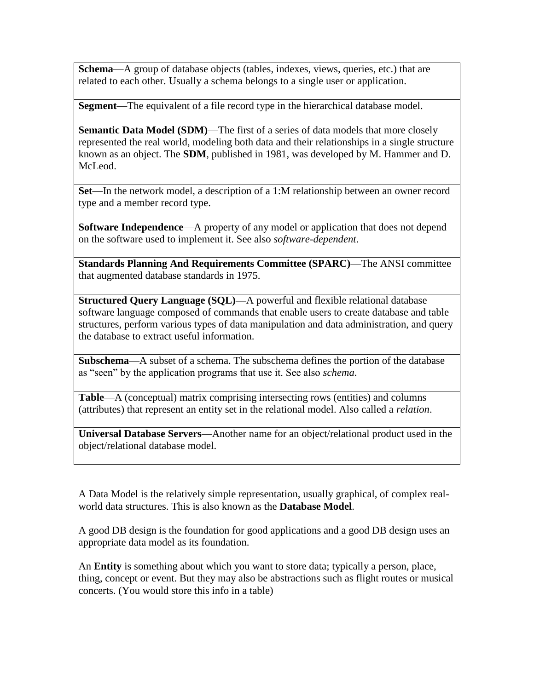**Schema**—A group of database objects (tables, indexes, views, queries, etc.) that are related to each other. Usually a schema belongs to a single user or application.

**Segment**—The equivalent of a file record type in the hierarchical database model.

**Semantic Data Model (SDM)—The first of a series of data models that more closely** represented the real world, modeling both data and their relationships in a single structure known as an object. The **SDM**, published in 1981, was developed by M. Hammer and D. McLeod.

**Set**—In the network model, a description of a 1:M relationship between an owner record type and a member record type.

**Software Independence**—A property of any model or application that does not depend on the software used to implement it. See also *software-dependent*.

**Standards Planning And Requirements Committee (SPARC)**—The ANSI committee that augmented database standards in 1975.

**Structured Query Language (SQL)—**A powerful and flexible relational database software language composed of commands that enable users to create database and table structures, perform various types of data manipulation and data administration, and query the database to extract useful information.

**Subschema**—A subset of a schema. The subschema defines the portion of the database as "seen" by the application programs that use it. See also *schema*.

**Table**—A (conceptual) matrix comprising intersecting rows (entities) and columns (attributes) that represent an entity set in the relational model. Also called a *relation*.

**Universal Database Servers**—Another name for an object/relational product used in the object/relational database model.

A Data Model is the relatively simple representation, usually graphical, of complex realworld data structures. This is also known as the **Database Model**.

A good DB design is the foundation for good applications and a good DB design uses an appropriate data model as its foundation.

An **Entity** is something about which you want to store data; typically a person, place, thing, concept or event. But they may also be abstractions such as flight routes or musical concerts. (You would store this info in a table)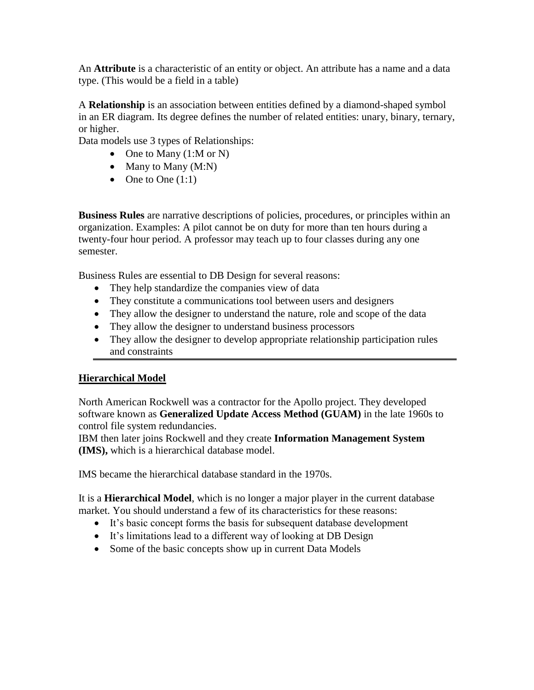An **Attribute** is a characteristic of an entity or object. An attribute has a name and a data type. (This would be a field in a table)

A **Relationship** is an association between entities defined by a diamond-shaped symbol in an ER diagram. Its degree defines the number of related entities: unary, binary, ternary, or higher.

Data models use 3 types of Relationships:

- One to Many  $(1: M \text{ or } N)$
- $\bullet$  Many to Many (M:N)
- $\bullet$  One to One  $(1:1)$

**Business Rules** are narrative descriptions of policies, procedures, or principles within an organization. Examples: A pilot cannot be on duty for more than ten hours during a twenty-four hour period. A professor may teach up to four classes during any one semester.

Business Rules are essential to DB Design for several reasons:

- They help standardize the companies view of data
- They constitute a communications tool between users and designers
- They allow the designer to understand the nature, role and scope of the data
- They allow the designer to understand business processors
- They allow the designer to develop appropriate relationship participation rules and constraints

#### **Hierarchical Model**

North American Rockwell was a contractor for the Apollo project. They developed software known as **Generalized Update Access Method (GUAM)** in the late 1960s to control file system redundancies.

IBM then later joins Rockwell and they create **Information Management System (IMS),** which is a hierarchical database model.

IMS became the hierarchical database standard in the 1970s.

It is a **Hierarchical Model**, which is no longer a major player in the current database market. You should understand a few of its characteristics for these reasons:

- It's basic concept forms the basis for subsequent database development
- It's limitations lead to a different way of looking at DB Design
- Some of the basic concepts show up in current Data Models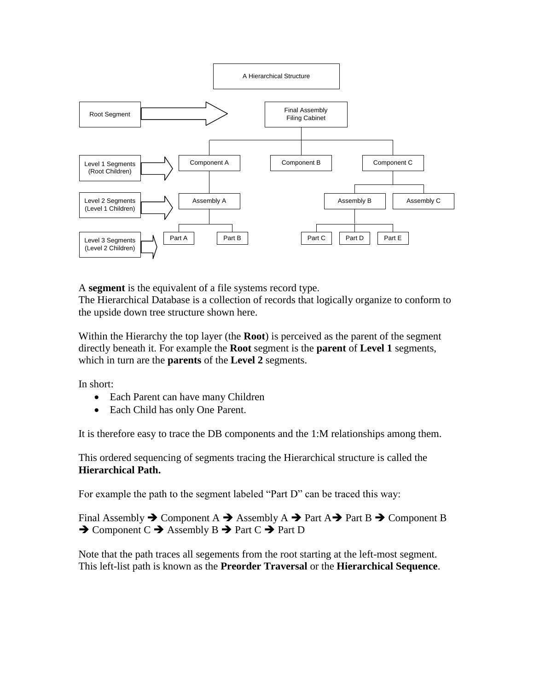

A **segment** is the equivalent of a file systems record type.

The Hierarchical Database is a collection of records that logically organize to conform to the upside down tree structure shown here.

Within the Hierarchy the top layer (the **Root**) is perceived as the parent of the segment directly beneath it. For example the **Root** segment is the **parent** of **Level 1** segments, which in turn are the **parents** of the **Level 2** segments.

In short:

- Each Parent can have many Children
- Each Child has only One Parent.

It is therefore easy to trace the DB components and the 1:M relationships among them.

This ordered sequencing of segments tracing the Hierarchical structure is called the **Hierarchical Path.** 

For example the path to the segment labeled "Part D" can be traced this way:

Final Assembly  $\rightarrow$  Component A  $\rightarrow$  Assembly A  $\rightarrow$  Part A $\rightarrow$  Part B  $\rightarrow$  Component B  $\rightarrow$  Component C  $\rightarrow$  Assembly B  $\rightarrow$  Part C  $\rightarrow$  Part D

Note that the path traces all segements from the root starting at the left-most segment. This left-list path is known as the **Preorder Traversal** or the **Hierarchical Sequence**.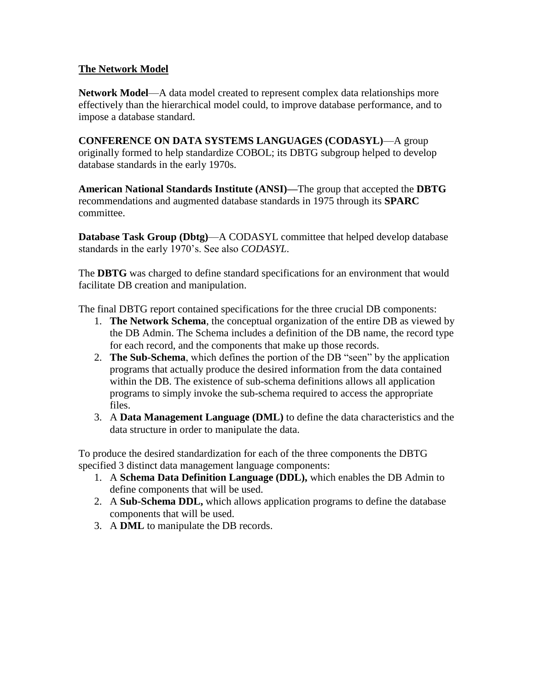#### **The Network Model**

**Network Model**—A data model created to represent complex data relationships more effectively than the hierarchical model could, to improve database performance, and to impose a database standard.

**CONFERENCE ON DATA SYSTEMS LANGUAGES (CODASYL)**—A group originally formed to help standardize COBOL; its DBTG subgroup helped to develop database standards in the early 1970s.

**American National Standards Institute (ANSI)—**The group that accepted the **DBTG** recommendations and augmented database standards in 1975 through its **SPARC** committee.

**Database Task Group (Dbtg)**—A CODASYL committee that helped develop database standards in the early 1970's. See also *CODASYL*.

The **DBTG** was charged to define standard specifications for an environment that would facilitate DB creation and manipulation.

The final DBTG report contained specifications for the three crucial DB components:

- 1. **The Network Schema**, the conceptual organization of the entire DB as viewed by the DB Admin. The Schema includes a definition of the DB name, the record type for each record, and the components that make up those records.
- 2. **The Sub-Schema**, which defines the portion of the DB "seen" by the application programs that actually produce the desired information from the data contained within the DB. The existence of sub-schema definitions allows all application programs to simply invoke the sub-schema required to access the appropriate files.
- 3. A **Data Management Language (DML)** to define the data characteristics and the data structure in order to manipulate the data.

To produce the desired standardization for each of the three components the DBTG specified 3 distinct data management language components:

- 1. A **Schema Data Definition Language (DDL),** which enables the DB Admin to define components that will be used.
- 2. A **Sub-Schema DDL,** which allows application programs to define the database components that will be used.
- 3. A **DML** to manipulate the DB records.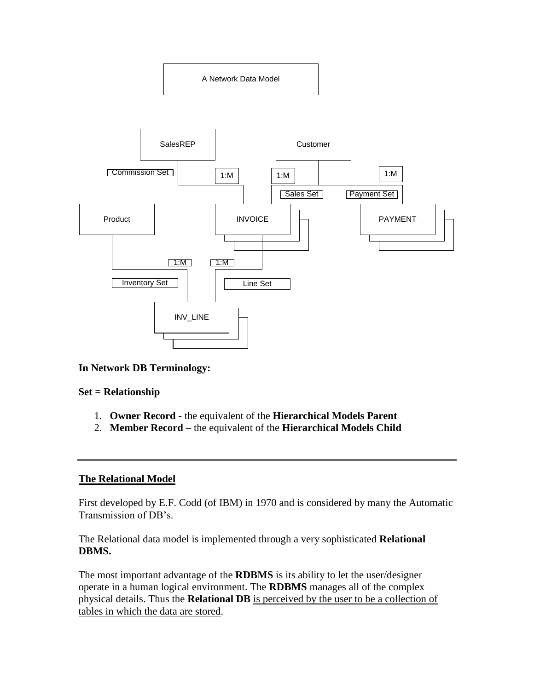A Network Data Model



#### **In Network DB Terminology:**

#### **Set = Relationship**

- 1. **Owner Record** the equivalent of the **Hierarchical Models Parent**
- 2. **Member Record** the equivalent of the **Hierarchical Models Child**

#### **The Relational Model**

First developed by E.F. Codd (of IBM) in 1970 and is considered by many the Automatic Transmission of DB's.

The Relational data model is implemented through a very sophisticated **Relational DBMS.**

The most important advantage of the **RDBMS** is its ability to let the user/designer operate in a human logical environment. The **RDBMS** manages all of the complex physical details. Thus the **Relational DB** is perceived by the user to be a collection of tables in which the data are stored.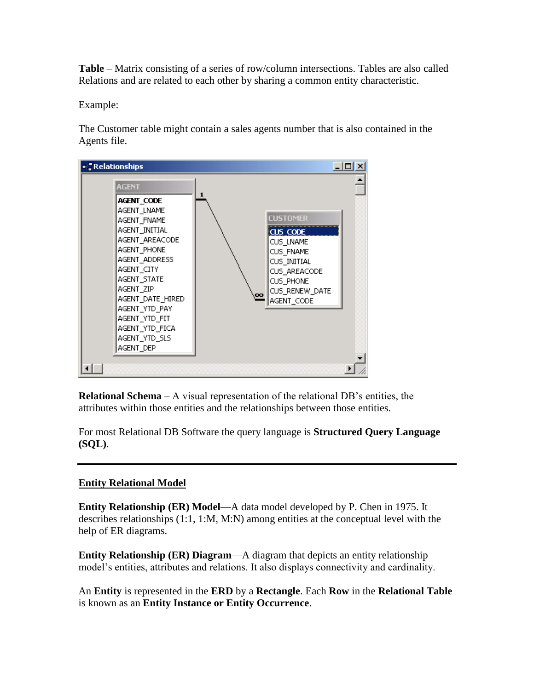**Table** – Matrix consisting of a series of row/column intersections. Tables are also called Relations and are related to each other by sharing a common entity characteristic.

Example:

The Customer table might contain a sales agents number that is also contained in the Agents file.



**Relational Schema** – A visual representation of the relational DB's entities, the attributes within those entities and the relationships between those entities.

For most Relational DB Software the query language is **Structured Query Language (SQL)**.

### **Entity Relational Model**

**Entity Relationship (ER) Model**—A data model developed by P. Chen in 1975. It describes relationships  $(1:1, 1:M, M:N)$  among entities at the conceptual level with the help of ER diagrams.

**Entity Relationship (ER) Diagram**—A diagram that depicts an entity relationship model's entities, attributes and relations. It also displays connectivity and cardinality.

An **Entity** is represented in the **ERD** by a **Rectangle**. Each **Row** in the **Relational Table**  is known as an **Entity Instance or Entity Occurrence**.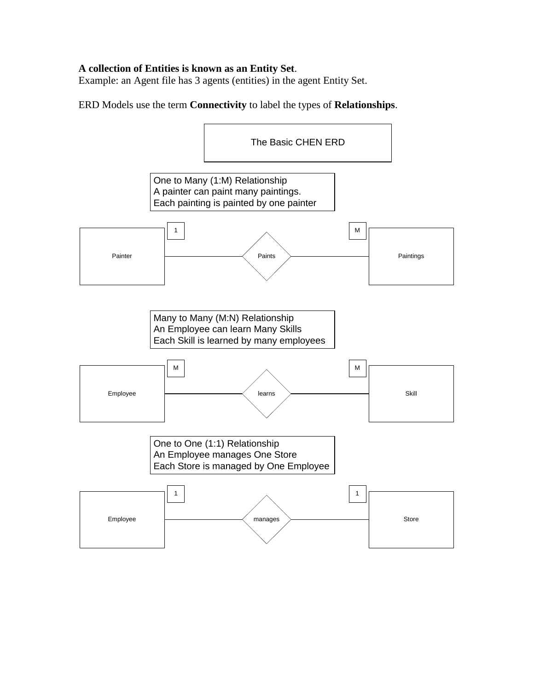#### **A collection of Entities is known as an Entity Set**.

Example: an Agent file has 3 agents (entities) in the agent Entity Set.

ERD Models use the term **Connectivity** to label the types of **Relationships**.

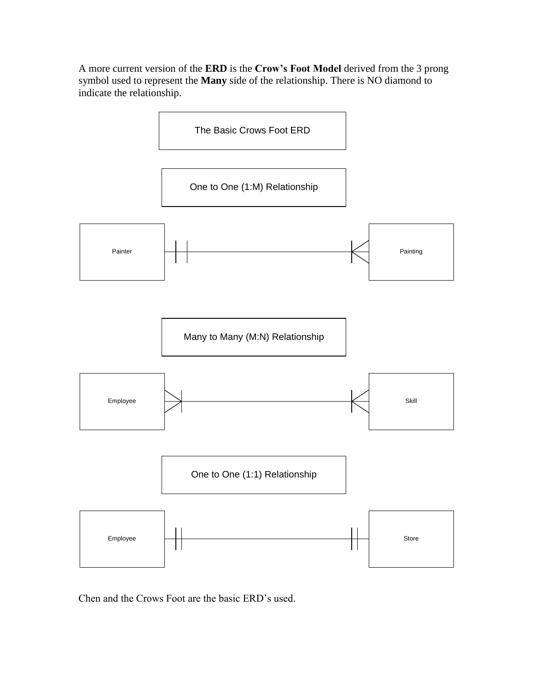A more current version of the **ERD** is the **Crow's Foot Model** derived from the 3 prong symbol used to represent the **Many** side of the relationship. There is NO diamond to indicate the relationship.



Chen and the Crows Foot are the basic ERD's used.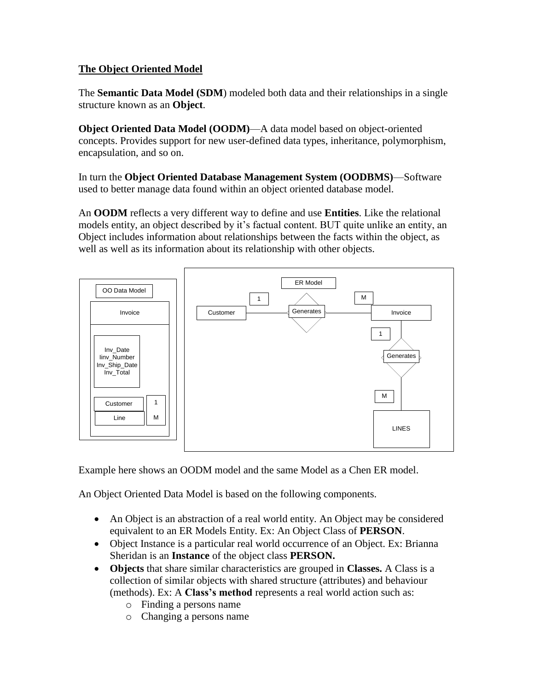### **The Object Oriented Model**

The **Semantic Data Model (SDM**) modeled both data and their relationships in a single structure known as an **Object**.

**Object Oriented Data Model (OODM)**—A data model based on object-oriented concepts. Provides support for new user-defined data types, inheritance, polymorphism, encapsulation, and so on.

In turn the **Object Oriented Database Management System (OODBMS)**—Software used to better manage data found within an object oriented database model.

An **OODM** reflects a very different way to define and use **Entities**. Like the relational models entity, an object described by it's factual content. BUT quite unlike an entity, an Object includes information about relationships between the facts within the object, as well as well as its information about its relationship with other objects.



Example here shows an OODM model and the same Model as a Chen ER model.

An Object Oriented Data Model is based on the following components.

- An Object is an abstraction of a real world entity. An Object may be considered equivalent to an ER Models Entity. Ex: An Object Class of **PERSON**.
- Object Instance is a particular real world occurrence of an Object. Ex: Brianna Sheridan is an **Instance** of the object class **PERSON.**
- **Objects** that share similar characteristics are grouped in **Classes.** A Class is a collection of similar objects with shared structure (attributes) and behaviour (methods). Ex: A **Class's method** represents a real world action such as:
	- o Finding a persons name
	- o Changing a persons name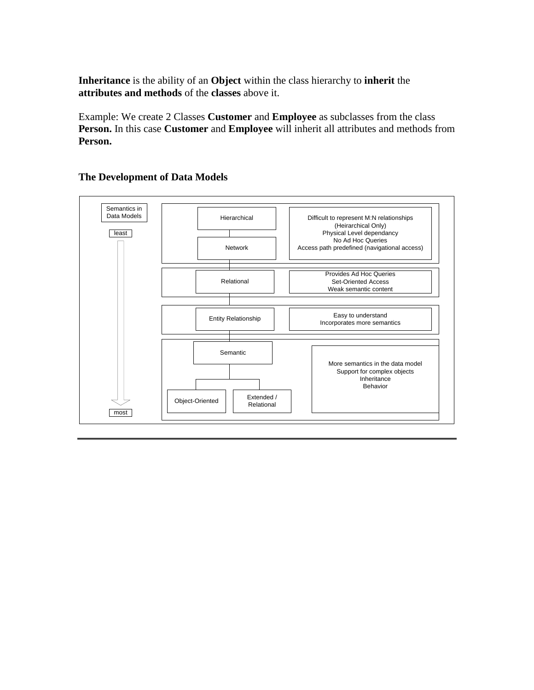**Inheritance** is the ability of an **Object** within the class hierarchy to **inherit** the **attributes and methods** of the **classes** above it.

Example: We create 2 Classes **Customer** and **Employee** as subclasses from the class **Person.** In this case **Customer** and **Employee** will inherit all attributes and methods from **Person.**



#### **The Development of Data Models**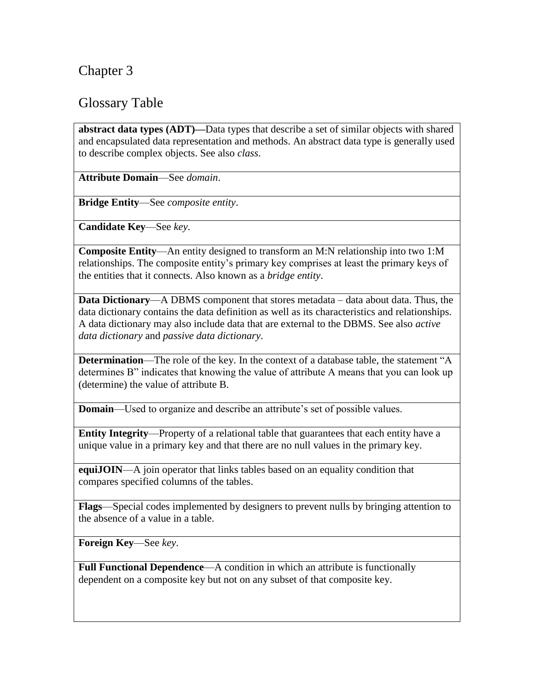# Chapter 3

# Glossary Table

**abstract data types (ADT)—**Data types that describe a set of similar objects with shared and encapsulated data representation and methods. An abstract data type is generally used to describe complex objects. See also *class*.

**Attribute Domain**—See *domain*.

**Bridge Entity**—See *composite entity*.

**Candidate Key**—See *key*.

**Composite Entity**—An entity designed to transform an M:N relationship into two 1:M relationships. The composite entity's primary key comprises at least the primary keys of the entities that it connects. Also known as a *bridge entity*.

**Data Dictionary**—A DBMS component that stores metadata – data about data. Thus, the data dictionary contains the data definition as well as its characteristics and relationships. A data dictionary may also include data that are external to the DBMS. See also *active data dictionary* and *passive data dictionary*.

**Determination—The role of the key. In the context of a database table, the statement "A** determines B" indicates that knowing the value of attribute A means that you can look up (determine) the value of attribute B.

**Domain**—Used to organize and describe an attribute's set of possible values.

**Entity Integrity**—Property of a relational table that guarantees that each entity have a unique value in a primary key and that there are no null values in the primary key.

**equiJOIN—A** join operator that links tables based on an equality condition that compares specified columns of the tables.

**Flags**—Special codes implemented by designers to prevent nulls by bringing attention to the absence of a value in a table.

**Foreign Key**—See *key*.

**Full Functional Dependence—A** condition in which an attribute is functionally dependent on a composite key but not on any subset of that composite key.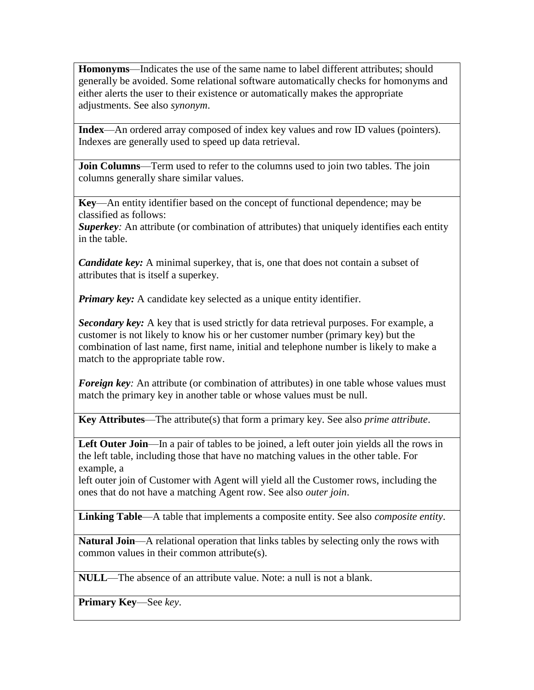**Homonyms**—Indicates the use of the same name to label different attributes; should generally be avoided. Some relational software automatically checks for homonyms and either alerts the user to their existence or automatically makes the appropriate adjustments. See also *synonym*.

**Index**—An ordered array composed of index key values and row ID values (pointers). Indexes are generally used to speed up data retrieval.

**Join Columns**—Term used to refer to the columns used to join two tables. The join columns generally share similar values.

**Key**—An entity identifier based on the concept of functional dependence; may be classified as follows:

*Superkey*: An attribute (or combination of attributes) that uniquely identifies each entity in the table.

*Candidate key:* A minimal superkey, that is, one that does not contain a subset of attributes that is itself a superkey.

*Primary key:* A candidate key selected as a unique entity identifier.

*Secondary key:* A key that is used strictly for data retrieval purposes. For example, a customer is not likely to know his or her customer number (primary key) but the combination of last name, first name, initial and telephone number is likely to make a match to the appropriate table row.

*Foreign key*: An attribute (or combination of attributes) in one table whose values must match the primary key in another table or whose values must be null.

**Key Attributes**—The attribute(s) that form a primary key. See also *prime attribute*.

Left Outer Join—In a pair of tables to be joined, a left outer join yields all the rows in the left table, including those that have no matching values in the other table. For example, a

left outer join of Customer with Agent will yield all the Customer rows, including the ones that do not have a matching Agent row. See also *outer join*.

**Linking Table**—A table that implements a composite entity. See also *composite entity*.

**Natural Join**—A relational operation that links tables by selecting only the rows with common values in their common attribute(s).

**NULL**—The absence of an attribute value. Note: a null is not a blank.

**Primary Key**—See *key*.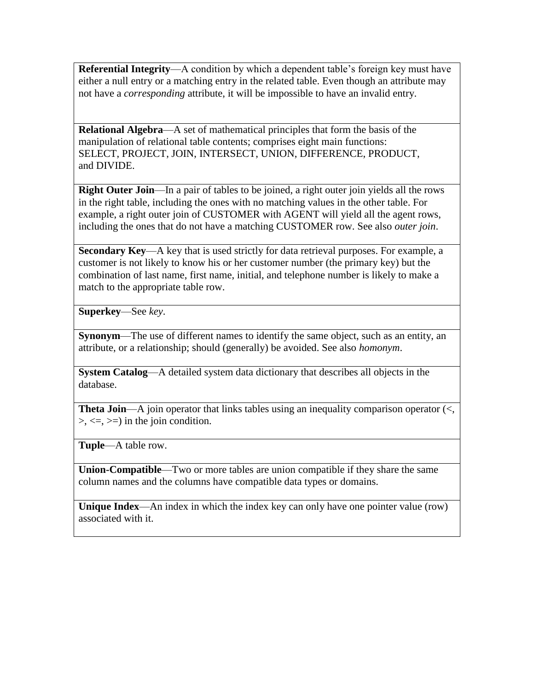**Referential Integrity**—A condition by which a dependent table's foreign key must have either a null entry or a matching entry in the related table. Even though an attribute may not have a *corresponding* attribute, it will be impossible to have an invalid entry.

**Relational Algebra**—A set of mathematical principles that form the basis of the manipulation of relational table contents; comprises eight main functions: SELECT, PROJECT, JOIN, INTERSECT, UNION, DIFFERENCE, PRODUCT, and DIVIDE.

**Right Outer Join—In** a pair of tables to be joined, a right outer join yields all the rows in the right table, including the ones with no matching values in the other table. For example, a right outer join of CUSTOMER with AGENT will yield all the agent rows, including the ones that do not have a matching CUSTOMER row. See also *outer join*.

**Secondary Key—A** key that is used strictly for data retrieval purposes. For example, a customer is not likely to know his or her customer number (the primary key) but the combination of last name, first name, initial, and telephone number is likely to make a match to the appropriate table row.

**Superkey**—See *key*.

**Synonym—The use of different names to identify the same object, such as an entity, an** attribute, or a relationship; should (generally) be avoided. See also *homonym*.

**System Catalog**—A detailed system data dictionary that describes all objects in the database.

**Theta Join—A** join operator that links tables using an inequality comparison operator (<,  $\geq, \leq, \geq)$  in the join condition.

**Tuple**—A table row.

**Union-Compatible**—Two or more tables are union compatible if they share the same column names and the columns have compatible data types or domains.

**Unique Index**—An index in which the index key can only have one pointer value (row) associated with it.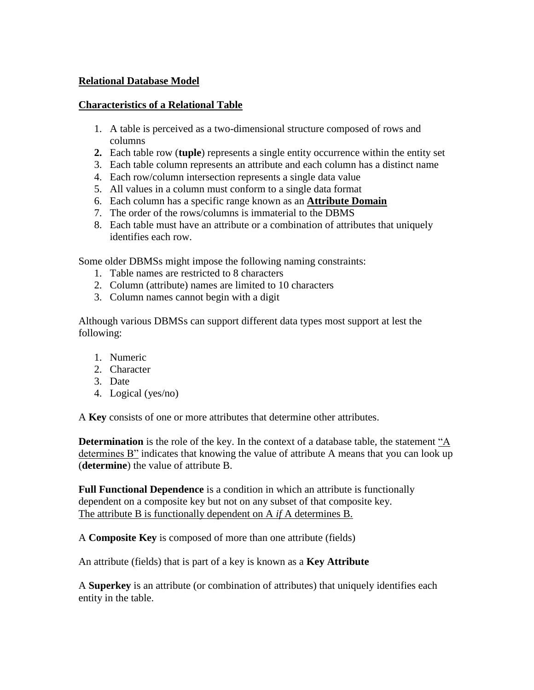#### **Relational Database Model**

#### **Characteristics of a Relational Table**

- 1. A table is perceived as a two-dimensional structure composed of rows and columns
- **2.** Each table row (**tuple**) represents a single entity occurrence within the entity set
- 3. Each table column represents an attribute and each column has a distinct name
- 4. Each row/column intersection represents a single data value
- 5. All values in a column must conform to a single data format
- 6. Each column has a specific range known as an **Attribute Domain**
- 7. The order of the rows/columns is immaterial to the DBMS
- 8. Each table must have an attribute or a combination of attributes that uniquely identifies each row.

Some older DBMSs might impose the following naming constraints:

- 1. Table names are restricted to 8 characters
- 2. Column (attribute) names are limited to 10 characters
- 3. Column names cannot begin with a digit

Although various DBMSs can support different data types most support at lest the following:

- 1. Numeric
- 2. Character
- 3. Date
- 4. Logical (yes/no)

A **Key** consists of one or more attributes that determine other attributes.

**Determination** is the role of the key. In the context of a database table, the statement "A determines B" indicates that knowing the value of attribute A means that you can look up (**determine**) the value of attribute B.

**Full Functional Dependence** is a condition in which an attribute is functionally dependent on a composite key but not on any subset of that composite key. The attribute B is functionally dependent on A *if* A determines B.

A **Composite Key** is composed of more than one attribute (fields)

An attribute (fields) that is part of a key is known as a **Key Attribute**

A **Superkey** is an attribute (or combination of attributes) that uniquely identifies each entity in the table.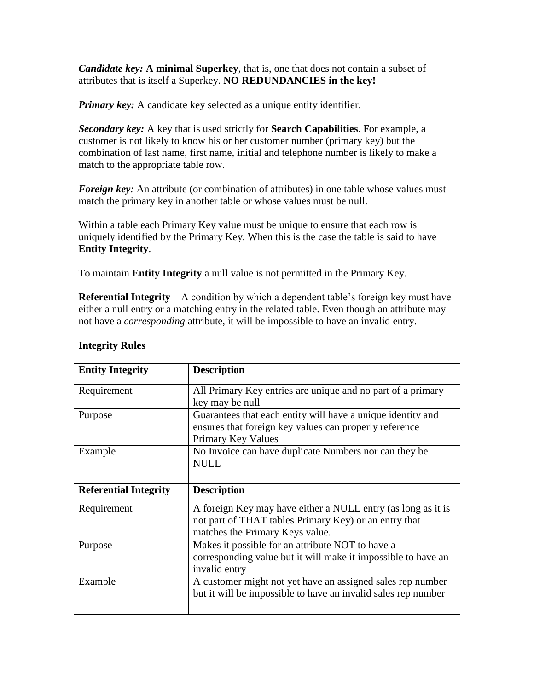*Candidate key:* **A minimal Superkey**, that is, one that does not contain a subset of attributes that is itself a Superkey. **NO REDUNDANCIES in the key!**

*Primary key:* A candidate key selected as a unique entity identifier.

*Secondary key:* A key that is used strictly for **Search Capabilities**. For example, a customer is not likely to know his or her customer number (primary key) but the combination of last name, first name, initial and telephone number is likely to make a match to the appropriate table row.

*Foreign key*: An attribute (or combination of attributes) in one table whose values must match the primary key in another table or whose values must be null.

Within a table each Primary Key value must be unique to ensure that each row is uniquely identified by the Primary Key. When this is the case the table is said to have **Entity Integrity**.

To maintain **Entity Integrity** a null value is not permitted in the Primary Key.

**Referential Integrity**—A condition by which a dependent table's foreign key must have either a null entry or a matching entry in the related table. Even though an attribute may not have a *corresponding* attribute, it will be impossible to have an invalid entry.

| <b>Entity Integrity</b>      | <b>Description</b>                                                                                                                                       |  |  |  |
|------------------------------|----------------------------------------------------------------------------------------------------------------------------------------------------------|--|--|--|
| Requirement                  | All Primary Key entries are unique and no part of a primary<br>key may be null                                                                           |  |  |  |
| Purpose                      | Guarantees that each entity will have a unique identity and<br>ensures that foreign key values can properly reference<br>Primary Key Values              |  |  |  |
| Example                      | No Invoice can have duplicate Numbers nor can they be.<br><b>NULL</b>                                                                                    |  |  |  |
| <b>Referential Integrity</b> | <b>Description</b>                                                                                                                                       |  |  |  |
| Requirement                  | A foreign Key may have either a NULL entry (as long as it is<br>not part of THAT tables Primary Key) or an entry that<br>matches the Primary Keys value. |  |  |  |
| Purpose                      | Makes it possible for an attribute NOT to have a<br>corresponding value but it will make it impossible to have an<br>invalid entry                       |  |  |  |
| Example                      | A customer might not yet have an assigned sales rep number<br>but it will be impossible to have an invalid sales rep number                              |  |  |  |

#### **Integrity Rules**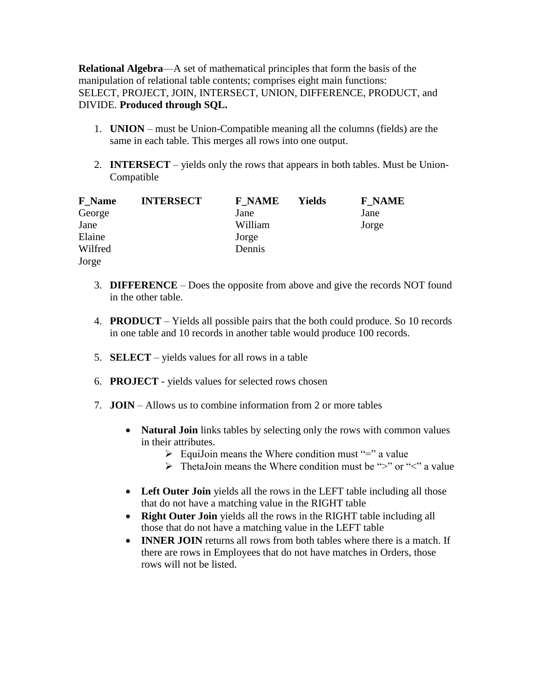**Relational Algebra**—A set of mathematical principles that form the basis of the manipulation of relational table contents; comprises eight main functions: SELECT, PROJECT, JOIN, INTERSECT, UNION, DIFFERENCE, PRODUCT, and DIVIDE. **Produced through SQL.**

- 1. **UNION** must be Union-Compatible meaning all the columns (fields) are the same in each table. This merges all rows into one output.
- 2. **INTERSECT** yields only the rows that appears in both tables. Must be Union-Compatible

| <b>F</b> Name | <b>INTERSECT</b> | <b>F NAME</b> | Yields | <b>F NAME</b> |
|---------------|------------------|---------------|--------|---------------|
| George        |                  | Jane          |        | Jane          |
| Jane          |                  | William       |        | Jorge         |
| Elaine        |                  | Jorge         |        |               |
| Wilfred       |                  | Dennis        |        |               |
| Jorge         |                  |               |        |               |

- 3. **DIFFERENCE** Does the opposite from above and give the records NOT found in the other table.
- 4. **PRODUCT** Yields all possible pairs that the both could produce. So 10 records in one table and 10 records in another table would produce 100 records.
- 5. **SELECT** yields values for all rows in a table
- 6. **PROJECT** yields values for selected rows chosen
- 7. **JOIN** Allows us to combine information from 2 or more tables
	- **Natural Join** links tables by selecting only the rows with common values in their attributes.
		- $\triangleright$  EquiJoin means the Where condition must "=" a value
		- $\triangleright$  ThetaJoin means the Where condition must be ">" or "<" a value
	- Left Outer Join yields all the rows in the LEFT table including all those that do not have a matching value in the RIGHT table
	- **Right Outer Join** yields all the rows in the RIGHT table including all those that do not have a matching value in the LEFT table
	- **INNER JOIN** returns all rows from both tables where there is a match. If there are rows in Employees that do not have matches in Orders, those rows will not be listed.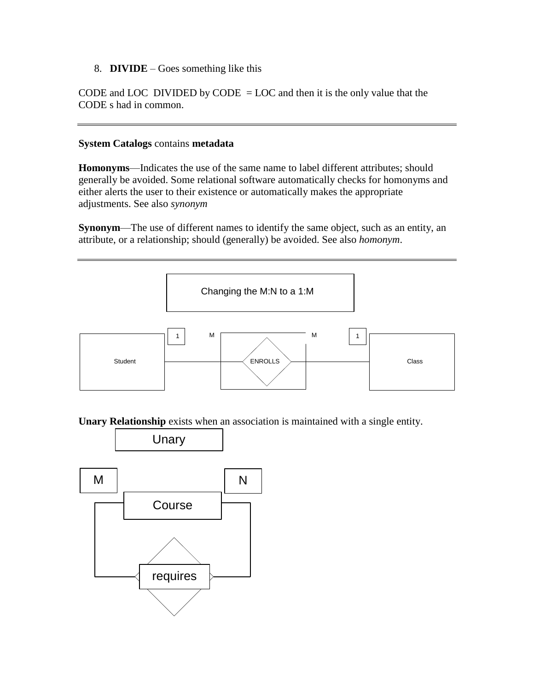8. **DIVIDE** – Goes something like this

CODE and LOC DIVIDED by CODE = LOC and then it is the only value that the CODE s had in common.

#### **System Catalogs** contains **metadata**

**Homonyms**—Indicates the use of the same name to label different attributes; should generally be avoided. Some relational software automatically checks for homonyms and either alerts the user to their existence or automatically makes the appropriate adjustments. See also *synonym*

**Synonym**—The use of different names to identify the same object, such as an entity, an attribute, or a relationship; should (generally) be avoided. See also *homonym*.



**Unary Relationship** exists when an association is maintained with a single entity.

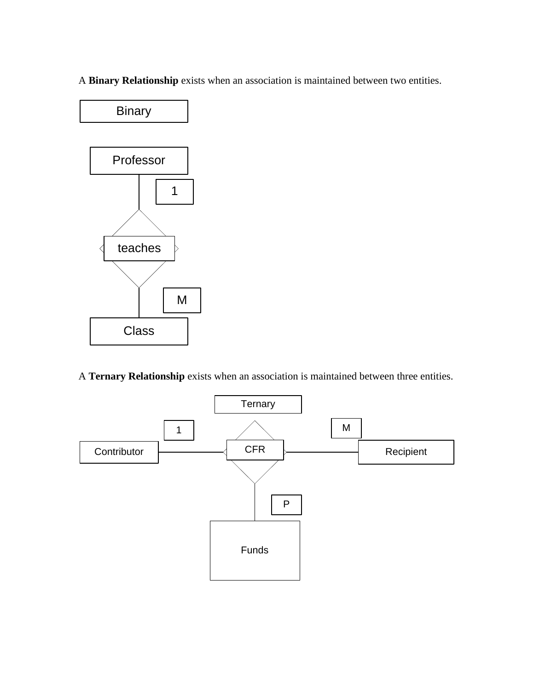A **Binary Relationship** exists when an association is maintained between two entities.



A **Ternary Relationship** exists when an association is maintained between three entities.

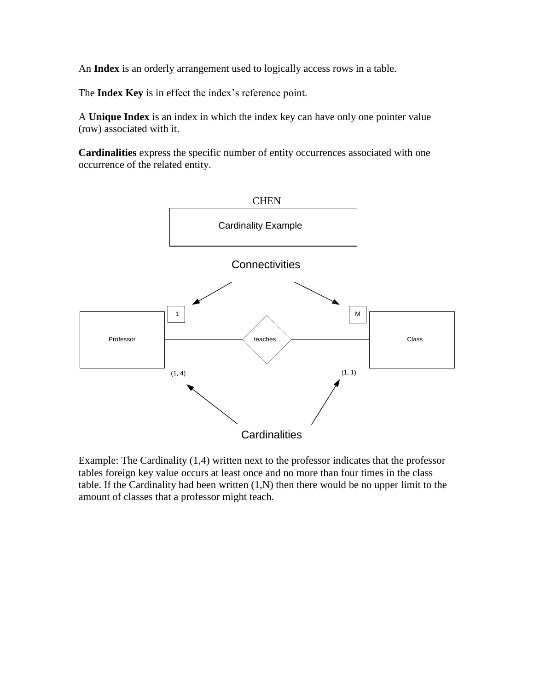An **Index** is an orderly arrangement used to logically access rows in a table.

The **Index Key** is in effect the index's reference point.

A **Unique Index** is an index in which the index key can have only one pointer value (row) associated with it.

**Cardinalities** express the specific number of entity occurrences associated with one occurrence of the related entity.



Example: The Cardinality (1,4) written next to the professor indicates that the professor tables foreign key value occurs at least once and no more than four times in the class table. If the Cardinality had been written (1,N) then there would be no upper limit to the amount of classes that a professor might teach.